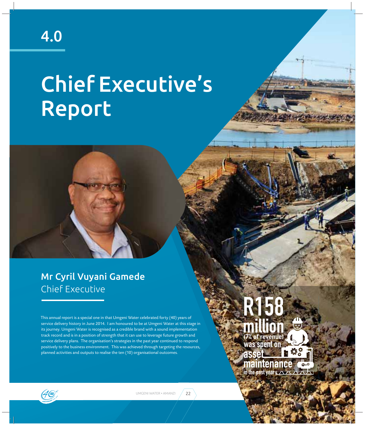4.0

# Chief Executive's Report



This annual report is a special one in that Umgeni Water celebrated forty (40) years of service delivery history in June 2014. I am honoured to be at Umgeni Water at this stage in its journey. Umgeni Water is recognised as a credible brand with a sound implementation track record and is in a position of strength that it can use to leverage future growth and service delivery plans. The organisation's strategies in the past year continued to respond positively to the business environment. This was achieved through targeting the resources, planned activities and outputs to realise the ten (10) organisational outcomes.





UMGENI WATER • AMANZI / 22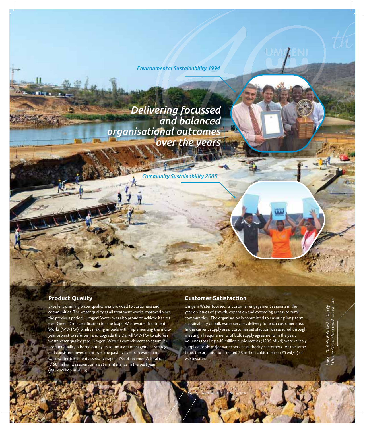*Environmental Sustainability 1994*

*Delivering focussed and balanced organisational outcomes over the years*

*Community Sustainability 2005* 

# **Product Quality**

Excellent drinking water quality was provided to customers and communities. The water quality at all treatment works improved since the previous period. Umgeni Water was also proud to achieve its first ever Green Drop certification for the Ixopo Wastewater Treatment Works (WWTW), whilst making inroads with implementing the multiyear project to refurbish and upgrade the Darvill WWTW to address wastewater quality gaps. Umgeni Water's commitment to assure its product quality is borne out by its sound asset management strategy and consistent investment over the past five years in water and wastewater treatment assets, averaging 7% of revenue. A total of R158 million was spent on asset maintenance in the past year (R152 million in 2013).

# **Customer Satisfaction**

23 \ ANNUAL REPORT 2013/2014

Umgeni Water focused its customer engagement sessions in the year on issues of growth, expansion and extending access to rural communities. The organisation is committed to ensuring long-term sustainability of bulk water services delivery for each customer area. In the current supply area, customer satisfaction was assured through meeting all requirements of bulk supply agreements in the year. Volumes totalling 440 million cubic metres (1205 Ml/d) were reliably supplied to six major water service authority customers. At the same time, the organisation treated 28 million cubic metres (75 Ml/d) of wastewater.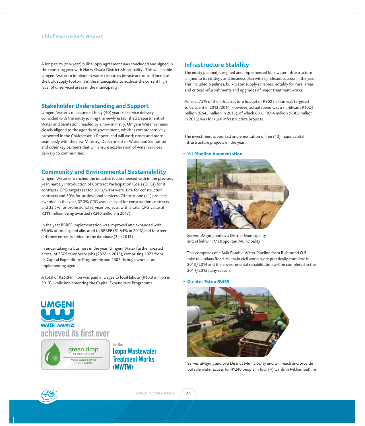### **Chief Executive's Report**

A long-term (ten-year) bulk supply agreement was concluded and signed in the reporting year with Harry Gwala District Municipality. This will enable Umgeni Water to implement water resources infrastructure and increase the bulk supply footprint in the municipality to address the current high level of unserviced areas in the municipality.

# **Stakeholder Understanding and Support**

Umgeni Water's milestone of forty (40) years of service delivery coincided with the entity joining the newly established Department of Water and Sanitation, headed by a new ministry. Umgeni Water remains closely aligned to the agenda of government, which is comprehensively presented in the Chairperson's Report, and will work closer and more seamlessly with the new Ministry, Department of Water and Sanitation and other key partners that will ensure acceleration of water services delivery to communities.

# **Community and Environmental Sustainability**

Umgeni Water entrenched the initiative it commenced with in the previous year, namely introduction of Contract Participation Goals (CPGs) for it contracts. CPG targets set for 2013/2014 were 35% for construction contracts and 30% for professional services. Of forty-one (41) projects awarded in the year, 37.3% CPG was achieved for construction contracts and 33.5% for professional services projects, with a total CPG value of R311 million being awarded (R240 million in 2013).

In the year BBBEE implementation was improved and expanded with 65.6% of total spend allocated to BBBEE (51.64% in 2013) and fourteen (14) new entrants added to the database (3 in 2013).

In undertaking its business in the year, Umgeni Water further created a total of 3375 temporary jobs (2328 in 2013), comprising 1073 from its Capital Expenditure Programme and 2302 through work as an implementing agent.

A total of R25.8 million was paid in wages to local labour (R10.8 million in 2013), while implementing the Capital Expenditure Programme.

for the

**(WWTW)** 

**Ixopo Wastewater Treatment Works** 





# and critical refurbishments and upgrades of major treatment works.

**Infrastructure Stability**

At least 75% of the infrastructure budget of R902 million was targeted to be spent in 2013/2014. However, actual spend was a significant R1024 million (R643 million in 2013), of which 68%, R694 million (R308 million in 2013) was for rural infrastructure projects.

The entity planned, designed and implemented bulk water infrastructure aligned to its strategy and business plan with significant success in the year. This included pipelines, bulk water supply schemes, notably for rural areas,

The investment supported implementation of Ten (10) major capital infrastructure projects in the year:

#### **• '61 Pipeline Augmentation**



 Serves uMgungundlovu District Municipality and eThekwini Metropolitan Municipality

This comprises of a Bulk Potable Water Pipeline from Richmond Offtake to Umlaas Road. All main civil works were practically complete in 2013/2014 and the environmental rehabilitation will be completed in the 2014/2015 rainy season.

#### **• Greater Eston BWSS**



Serves uMgungundlovu District Municipality and will reach and provide potable water access for 41240 people in four (4) wards in Mkhambathini

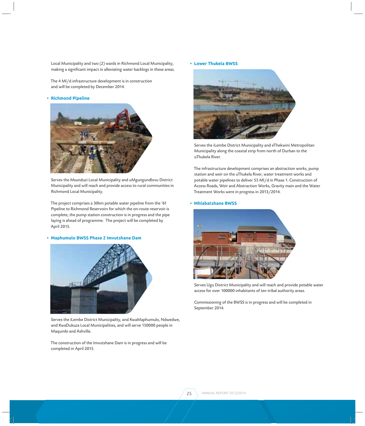Local Municipality and two (2) wards in Richmond Local Municipality, making a significant impact in alleviating water backlogs in these areas.

The 4 Ml/d infrastructure development is in construction and will be completed by December 2014.

#### **• Richmond Pipeline**



Serves the Msunduzi Local Municipality and uMgungundlovu District Municipality and will reach and provide access to rural communities in Richmond Local Municipality.

The project comprises a 30km potable water pipeline from the '61 Pipeline to Richmond Reservoirs for which the on-route reservoir is complete, the pump station construction is in progress and the pipe laying is ahead of programme. The project will be completed by April 2015.

#### **• Maphumulo BWSS Phase 2 Imvutshane Dam**



Serves the iLembe District Municipality, and KwaMaphumulo, Ndwedwe, and KwaDukuza Local Municipalities, and will serve 150000 people in Maqumbi and Ashville.

The construction of the Imvutshane Dam is in progress and will be completed in April 2015.

**• Lower Thukela BWSS**



Serves the iLembe District Municipality and eThekwini Metropolitan Municipality along the coastal strip from north of Durban to the uThukela River.

The infrastructure development comprises an abstraction works, pump station and weir on the uThukela River, water treatment works and potable water pipelines to deliver 55 Ml/d in Phase 1. Construction of Access Roads, Weir and Abstraction Works, Gravity main and the Water Treatment Works were in progress in 2013/2014.

#### **• Mhlabatshane BWSS**



Serves Ugu District Municipality and will reach and provide potable water access for over 100000 inhabitants of ten tribal authority areas.

Commissioning of the BWSS is in progress and will be completed in September 2014.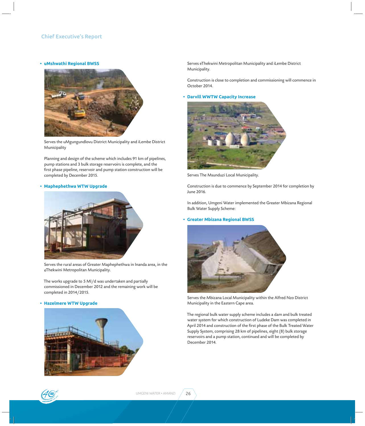#### **• uMshwathi Regional BWSS**



Serves the uMgungundlovu District Municipality and iLembe District Municipality

Planning and design of the scheme which includes 91 km of pipelines, pump stations and 3 bulk storage reservoirs is complete, and the first phase pipeline, reservoir and pump station construction will be completed by December 2015.

#### **• Maphephethwa WTW Upgrade**



Serves the rural areas of Greater Maphephethwa in Inanda area, in the eThekwini Metropolitan Municipality.

The works upgrade to 5 Ml/d was undertaken and partially commissioned in December 2012 and the remaining work will be completed in 2014/2015.

#### **• Hazelmere WTW Upgrade**



Serves eThekwini Metropolitan Municipality and iLembe District Municipality.

Construction is close to completion and commissioning will commence in October 2014.

#### **• Darvill WWTW Capacity Increase**



Serves The Msunduzi Local Municipality.

Construction is due to commence by September 2014 for completion by June 2016.

In addition, Umgeni Water implemented the Greater Mbizana Regional Bulk Water Supply Scheme:

#### **• Greater Mbizana Regional BWSS**



Serves the Mbizana Local Municipality within the Alfred Nzo District Municipality in the Eastern Cape area.

The regional bulk water supply scheme includes a dam and bulk treated water system for which construction of Ludeke Dam was completed in April 2014 and construction of the first phase of the Bulk Treated Water Supply System, comprising 28 km of pipelines, eight (8) bulk storage reservoirs and a pump station, continued and will be completed by December 2014.

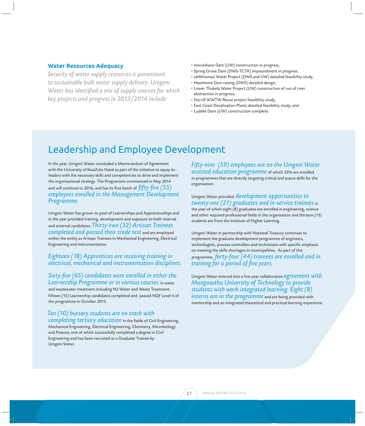## **Water Resources Adequacy**

*Security of water supply resources is paramount to sustainable bulk water supply delivery. Umgeni Water has identified a mix of supply sources for which key projects and progress in 2013/2014 include:*

- **Ǟ** Imvutshane Dam (UW) construction in progress,
- **Ǟ** Spring Grove Dam (DWS-TCTA) impoundment in progress.
- **Ǟ** uMkhomazi Water Project (DWS and UW) detailed feasibility study,
- **Ǟ** Hazelmere Dam raising (DWS) detailed design,
- **Ǟ** Lower Thukela Water Project (UW) construction of run of river abstraction in progress,
- **Ǟ** Darvill WWTW Reuse project feasibility study,
- **Ǟ** East Coast Desalination Plants detailed feasibility study, and
- **Ǟ** Ludeke Dam (UW) construction complete.

# Leadership and Employee Development

In the year, Umgeni Water concluded a Memorandum of Agreement with the University of KwaZulu-Natal as part of the initiative to equip its leaders with the necessary skills and competencies to drive and implement the organisational strategy. The Programme commenced in May 2014 and will continue to 2016, and has its first batch of  $\it\!ffty\text{-}five$   $(55)$ *employees enrolled in the Management Development Programme.*

Umgeni Water has grown its pool of Learnerships and Apprenticeships and in the year provided training, development and exposure to both internal and external candidates. *Thirty-two (32) Artisan Trainees completed and passed their trade test* and are employed within the entity as Artisan Trainees in Mechanical Engineering, Electrical Engineering and Instrumentation.

# *Eighteen (18) Apprentices are receiving training in electrical, mechanical and instrumentation disciplines.*

## *Sixty-fi ve (65) candidates were enrolled in either the Learnership Programme or in various courses* in water

and wastewater treatment including N3 Water and Waste Treatment. Fifteen (15) Learnership candidates completed and passed NQF Level 4 of the programme in October 2013.

# *Ten (10) bursary students are on track with*

*completing tertiary education* in the fields of Civil Engineering, Mechanical Engineering, Electrical Engineering, Chemistry, Microbiology and Finance, one of which successfully completed a degree in Civil Engineering and has been recruited as a Graduate Trainee by Umgeni Water.

*Fifty-nine (59) employees are on the Umgeni Water assisted education programme* of which 33% are enrolled in programmes that are directly targeting critical and scarce skills for the organisation.

Umgeni Water provided *development opportunities to twenty-one (21) graduates and in-service trainees* in the year of which eight (8) graduates are enrolled in engineering, science and other required professional fields in the organisation and thirteen (13) students are from the Institute of Higher Learning.

Umgeni Water in partnership with National Treasury continues to implement the graduate development programme of engineers, technologists, process controllers and technicians with specific emphasis on meeting the skills shortages in municipalities. As part of this programme, *forty-four (44) trainees are enrolled and in training for a period of five years.* 

Umgeni Water entered into a five-year collaborative *agreement* with *Mangosuthu University of Technology to provide students with work integrated learning. Eight (8) interns are in the programme* and are being provided with mentorship and an integrated theoretical and practical learning experience.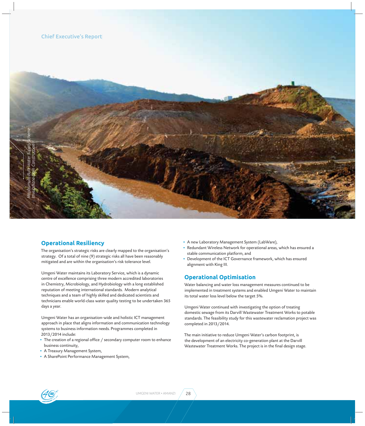

# **Operational Resiliency**

The organisation's strategic risks are clearly mapped to the organisation's strategy. Of a total of nine (9) strategic risks all have been reasonably mitigated and are within the organisation's risk tolerance level.

Umgeni Water maintains its Laboratory Service, which is a dynamic centre of excellence comprising three modern accredited laboratories in Chemistry, Microbiology, and Hydrobiology with a long established reputation of meeting international standards. Modern analytical techniques and a team of highly skilled and dedicated scientists and technicians enable world-class water quality testing to be undertaken 365 days a year.

Umgeni Water has an organisation-wide and holistic ICT management approach in place that aligns information and communication technology systems to business information needs. Programmes completed in 2013/2014 include:

- The creation of a regional office / secondary computer room to enhance business continuity,
- **Ǟ** A Treasury Management System,
- **Ǟ** A SharePoint Performance Management System,
- **Ǟ** A new Laboratory Management System (LabWare),
- **Ǟ** Redundant Wireless Network for operational areas, which has ensured a stable communication platform, and
- Development of the ICT Governance framework, which has ensured alignment with King III.

# **Operational Optimisation**

Water balancing and water loss management measures continued to be implemented in treatment systems and enabled Umgeni Water to maintain its total water loss level below the target 5%.

Umgeni Water continued with investigating the option of treating domestic sewage from its Darvill Wastewater Treatment Works to potable standards. The feasibility study for this wastewater reclamation project was completed in 2013/2014.

The main initiative to reduce Umgeni Water's carbon footprint, is the development of an electricity co-generation plant at the Darvill Wastewater Treatment Works. The project is in the final design stage.